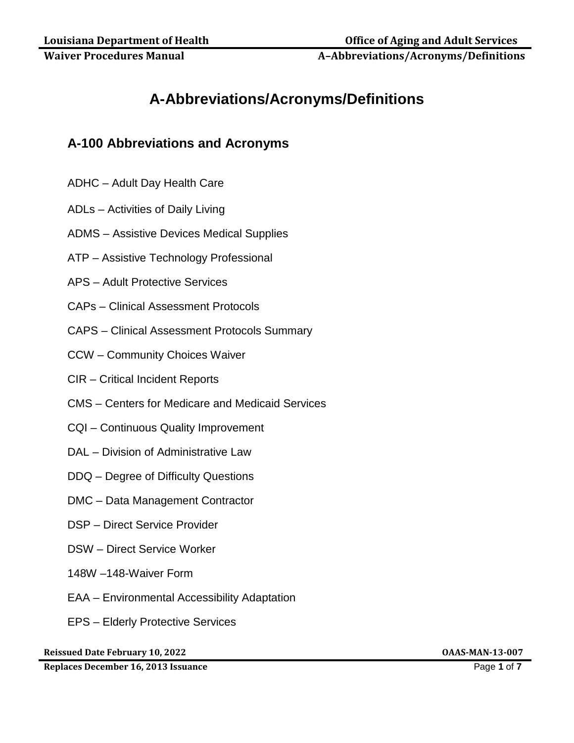**Waiver Procedures Manual Manual A–Abbreviations/Acronyms/Definitions** 

# **A-Abbreviations/Acronyms/Definitions**

## **A-100 Abbreviations and Acronyms**

- ADHC Adult Day Health Care
- ADLs Activities of Daily Living
- ADMS Assistive Devices Medical Supplies
- ATP Assistive Technology Professional
- APS Adult Protective Services
- CAPs Clinical Assessment Protocols
- CAPS Clinical Assessment Protocols Summary
- CCW Community Choices Waiver
- CIR Critical Incident Reports
- CMS Centers for Medicare and Medicaid Services
- CQI Continuous Quality Improvement
- DAL Division of Administrative Law
- DDQ Degree of Difficulty Questions
- DMC Data Management Contractor
- DSP Direct Service Provider
- DSW Direct Service Worker
- 148W –148-Waiver Form
- EAA Environmental Accessibility Adaptation
- EPS Elderly Protective Services

**Reissued Date February 10, 2022 OAAS-MAN-13-007**

**Replaces December 16, 2013 Issuance** Page **1** of **7**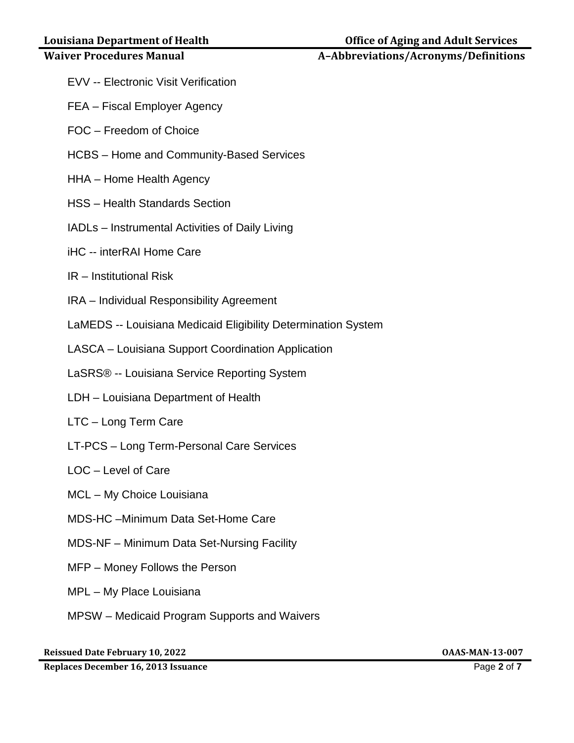### **Waiver Procedures Manual Manual A–Abbreviations/Acronyms/Definitions**

- 
- EVV -- Electronic Visit Verification
- FEA Fiscal Employer Agency
- FOC Freedom of Choice
- HCBS Home and Community-Based Services
- HHA Home Health Agency
- HSS Health Standards Section
- IADLs Instrumental Activities of Daily Living
- iHC -- interRAI Home Care
- IR Institutional Risk
- IRA Individual Responsibility Agreement
- LaMEDS -- Louisiana Medicaid Eligibility Determination System
- LASCA Louisiana Support Coordination Application
- LaSRS® -- Louisiana Service Reporting System
- LDH Louisiana Department of Health
- LTC Long Term Care
- LT-PCS Long Term-Personal Care Services
- LOC Level of Care
- MCL My Choice Louisiana
- MDS-HC –Minimum Data Set-Home Care
- MDS-NF Minimum Data Set-Nursing Facility
- MFP Money Follows the Person
- MPL My Place Louisiana
- MPSW Medicaid Program Supports and Waivers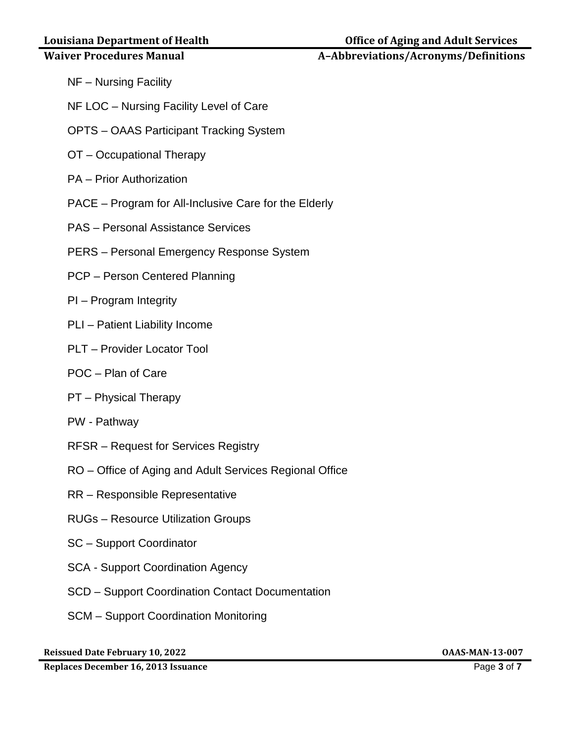#### **Waiver Procedures Manual Manual A–Abbreviations/Acronyms/Definitions**

- NF Nursing Facility
- NF LOC Nursing Facility Level of Care
- OPTS OAAS Participant Tracking System
- OT Occupational Therapy
- PA Prior Authorization
- PACE Program for All-Inclusive Care for the Elderly
- PAS Personal Assistance Services
- PERS Personal Emergency Response System
- PCP Person Centered Planning
- PI Program Integrity
- PLI Patient Liability Income
- PLT Provider Locator Tool
- POC Plan of Care
- PT Physical Therapy
- PW Pathway
- RFSR Request for Services Registry
- RO Office of Aging and Adult Services Regional Office
- RR Responsible Representative
- RUGs Resource Utilization Groups
- SC Support Coordinator
- SCA Support Coordination Agency
- SCD Support Coordination Contact Documentation
- SCM Support Coordination Monitoring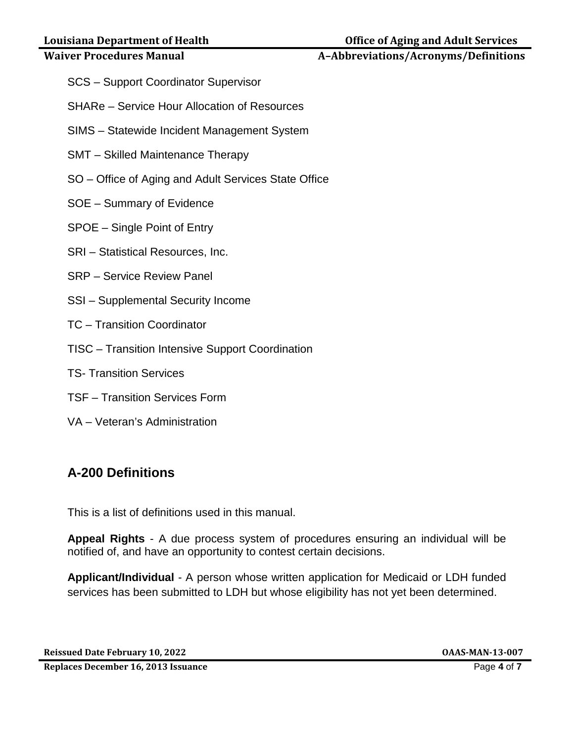### **Waiver Procedures Manual Manual A–Abbreviations/Acronyms/Definitions**

- SCS Support Coordinator Supervisor
- SHARe Service Hour Allocation of Resources
- SIMS Statewide Incident Management System
- SMT Skilled Maintenance Therapy
- SO Office of Aging and Adult Services State Office
- SOE Summary of Evidence
- SPOE Single Point of Entry
- SRI Statistical Resources, Inc.
- SRP Service Review Panel
- SSI Supplemental Security Income
- TC Transition Coordinator
- TISC Transition Intensive Support Coordination
- TS- Transition Services
- TSF Transition Services Form
- VA Veteran's Administration

# **A-200 Definitions**

This is a list of definitions used in this manual.

**Appeal Rights** - A due process system of procedures ensuring an individual will be notified of, and have an opportunity to contest certain decisions.

**Applicant/Individual** - A person whose written application for Medicaid or LDH funded services has been submitted to LDH but whose eligibility has not yet been determined.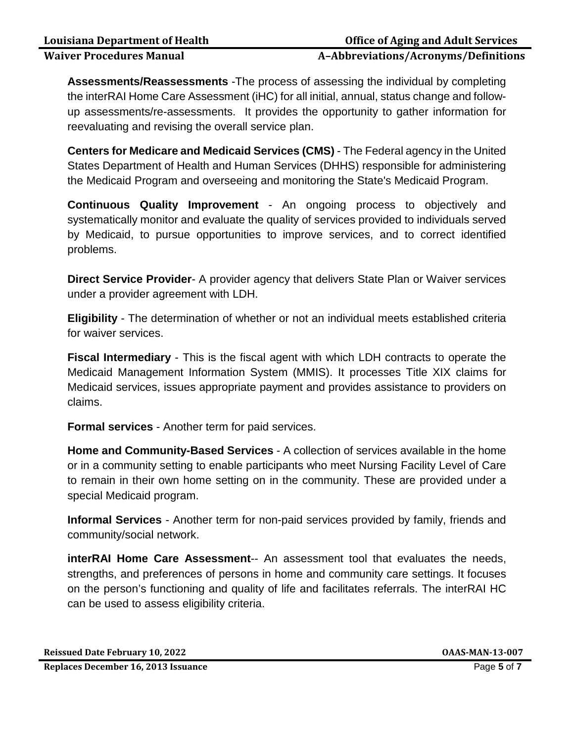### **Waiver Procedures Manual A–Abbreviations/Acronyms/Definitions**

**Assessments/Reassessments** -The process of assessing the individual by completing the interRAI Home Care Assessment (iHC) for all initial, annual, status change and followup assessments/re-assessments. It provides the opportunity to gather information for reevaluating and revising the overall service plan.

**Centers for Medicare and Medicaid Services (CMS)** - The Federal agency in the United States Department of Health and Human Services (DHHS) responsible for administering the Medicaid Program and overseeing and monitoring the State's Medicaid Program.

**Continuous Quality Improvement** - An ongoing process to objectively and systematically monitor and evaluate the quality of services provided to individuals served by Medicaid, to pursue opportunities to improve services, and to correct identified problems.

**Direct Service Provider**- A provider agency that delivers State Plan or Waiver services under a provider agreement with LDH.

**Eligibility** - The determination of whether or not an individual meets established criteria for waiver services.

**Fiscal Intermediary** - This is the fiscal agent with which LDH contracts to operate the Medicaid Management Information System (MMIS). It processes Title XIX claims for Medicaid services, issues appropriate payment and provides assistance to providers on claims.

**Formal services** - Another term for paid services.

**Home and Community-Based Services** - A collection of services available in the home or in a community setting to enable participants who meet Nursing Facility Level of Care to remain in their own home setting on in the community. These are provided under a special Medicaid program.

**Informal Services** - Another term for non-paid services provided by family, friends and community/social network.

**interRAI Home Care Assessment**-- An assessment tool that evaluates the needs, strengths, and preferences of persons in home and community care settings. It focuses on the person's functioning and quality of life and facilitates referrals. The interRAI HC can be used to assess eligibility criteria.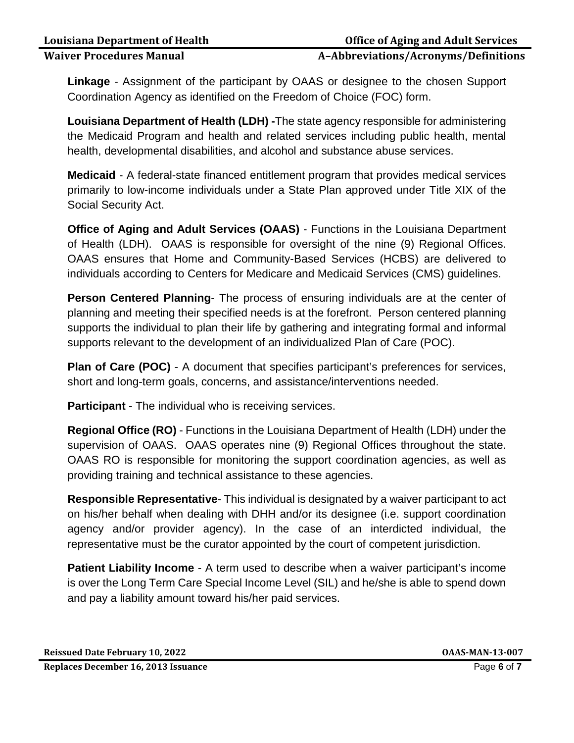#### **Waiver Procedures Manual A–Abbreviations/Acronyms/Definitions**

**Linkage** - Assignment of the participant by OAAS or designee to the chosen Support Coordination Agency as identified on the Freedom of Choice (FOC) form.

**Louisiana Department of Health (LDH) -**The state agency responsible for administering the Medicaid Program and health and related services including public health, mental health, developmental disabilities, and alcohol and substance abuse services.

**Medicaid** - A federal-state financed entitlement program that provides medical services primarily to low-income individuals under a State Plan approved under Title XIX of the Social Security Act.

**Office of Aging and Adult Services (OAAS)** - Functions in the Louisiana Department of Health (LDH). OAAS is responsible for oversight of the nine (9) Regional Offices. OAAS ensures that Home and Community-Based Services (HCBS) are delivered to individuals according to Centers for Medicare and Medicaid Services (CMS) guidelines.

**Person Centered Planning**- The process of ensuring individuals are at the center of planning and meeting their specified needs is at the forefront. Person centered planning supports the individual to plan their life by gathering and integrating formal and informal supports relevant to the development of an individualized Plan of Care (POC).

**Plan of Care (POC)** - A document that specifies participant's preferences for services, short and long-term goals, concerns, and assistance/interventions needed.

**Participant** - The individual who is receiving services.

**Regional Office (RO)** - Functions in the Louisiana Department of Health (LDH) under the supervision of OAAS. OAAS operates nine (9) Regional Offices throughout the state. OAAS RO is responsible for monitoring the support coordination agencies, as well as providing training and technical assistance to these agencies.

**Responsible Representative**- This individual is designated by a waiver participant to act on his/her behalf when dealing with DHH and/or its designee (i.e. support coordination agency and/or provider agency). In the case of an interdicted individual, the representative must be the curator appointed by the court of competent jurisdiction.

**Patient Liability Income** - A term used to describe when a waiver participant's income is over the Long Term Care Special Income Level (SIL) and he/she is able to spend down and pay a liability amount toward his/her paid services.